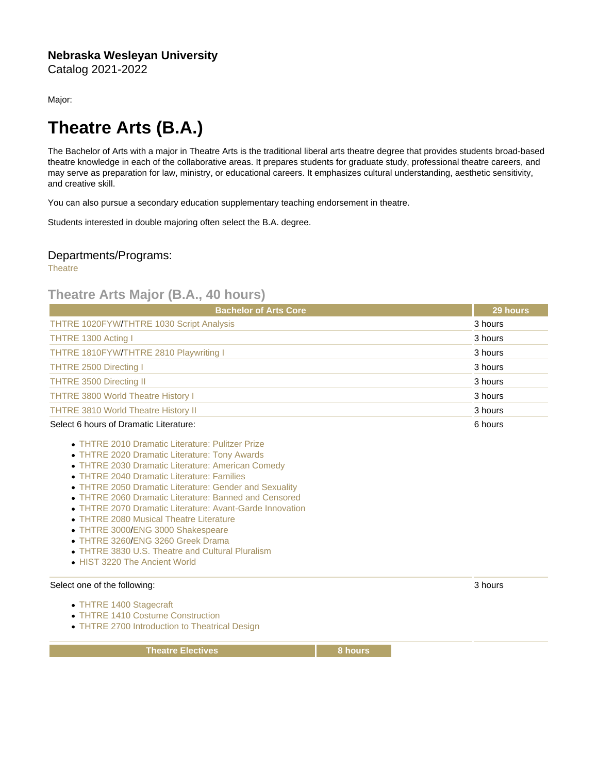Major:

## Theatre Arts (B.A.)

The Bachelor of Arts with a major in Theatre Arts is the traditional liberal arts theatre degree that provides students broad-based theatre knowledge in each of the collaborative areas. It prepares students for graduate study, professional theatre careers, and may serve as preparation for law, ministry, or educational careers. It emphasizes cultural understanding, aesthetic sensitivity, and creative skill.

You can also pursue a secondary education supplementary teaching endorsement in theatre.

Students interested in double majoring often select the B.A. degree.

## Departments/Programs:

**[Theatre](https://catalog.nebrwesleyan.edu/cc/2021-2022/department/363165)** 

## Theatre Arts Major (B.A., 40 hours)

| <b>Bachelor of Arts Core</b>               | 29 hours |
|--------------------------------------------|----------|
| THTRE 1020FYW/THTRE 1030 Script Analysis   | 3 hours  |
| THTRE 1300 Acting I                        | 3 hours  |
| THTRE 1810FYW/THTRE 2810 Playwriting I     | 3 hours  |
| <b>THTRE 2500 Directing I</b>              | 3 hours  |
| THTRE 3500 Directing II                    | 3 hours  |
| <b>THTRE 3800 World Theatre History I</b>  | 3 hours  |
| <b>THTRE 3810 World Theatre History II</b> | 3 hours  |
| Select 6 hours of Dramatic Literature:     | 6 hours  |

- [THTRE 2010 Dramatic Literature: Pulitzer Prize](https://catalog.nebrwesleyan.edu/cc/2021-2022/course/360631)
- [THTRE 2020 Dramatic Literature: Tony Awards](https://catalog.nebrwesleyan.edu/cc/2021-2022/course/362433)
- [THTRE 2030 Dramatic Literature: American Comedy](https://catalog.nebrwesleyan.edu/cc/2021-2022/course/362434)
- [THTRE 2040 Dramatic Literature: Families](https://catalog.nebrwesleyan.edu/cc/2021-2022/course/362435)
- [THTRE 2050 Dramatic Literature: Gender and Sexuality](https://catalog.nebrwesleyan.edu/cc/2021-2022/course/362436)
- [THTRE 2060 Dramatic Literature: Banned and Censored](https://catalog.nebrwesleyan.edu/cc/2021-2022/course/362437)
- [THTRE 2070 Dramatic Literature: Avant-Garde Innovation](https://catalog.nebrwesleyan.edu/cc/2021-2022/course/362987)
- **[THTRE 2080 Musical Theatre Literature](https://catalog.nebrwesleyan.edu/cc/2021-2022/course/363004)**
- [THTRE 3000](https://catalog.nebrwesleyan.edu/cc/2021-2022/course/360644)[/ENG 3000 Shakespeare](https://catalog.nebrwesleyan.edu/cc/2021-2022/course/360305)
- [THTRE 3260](https://catalog.nebrwesleyan.edu/cc/2021-2022/course/362568)[/ENG 3260 Greek Drama](https://catalog.nebrwesleyan.edu/cc/2021-2022/course/361756)
- [THTRE 3830 U.S. Theatre and Cultural Pluralism](https://catalog.nebrwesleyan.edu/cc/2021-2022/course/362843)
- [HIST 3220 The Ancient World](https://catalog.nebrwesleyan.edu/cc/2021-2022/course/360496)

## Select one of the following:

- [THTRE 1400 Stagecraft](https://catalog.nebrwesleyan.edu/cc/2021-2022/course/360690)
- [THTRE 1410 Costume Construction](https://catalog.nebrwesleyan.edu/cc/2021-2022/course/360691)
- [THTRE 2700 Introduction to Theatrical Design](https://catalog.nebrwesleyan.edu/cc/2021-2022/course/360694)

Theatre Electives **8 hours** 8 hours

3 hours